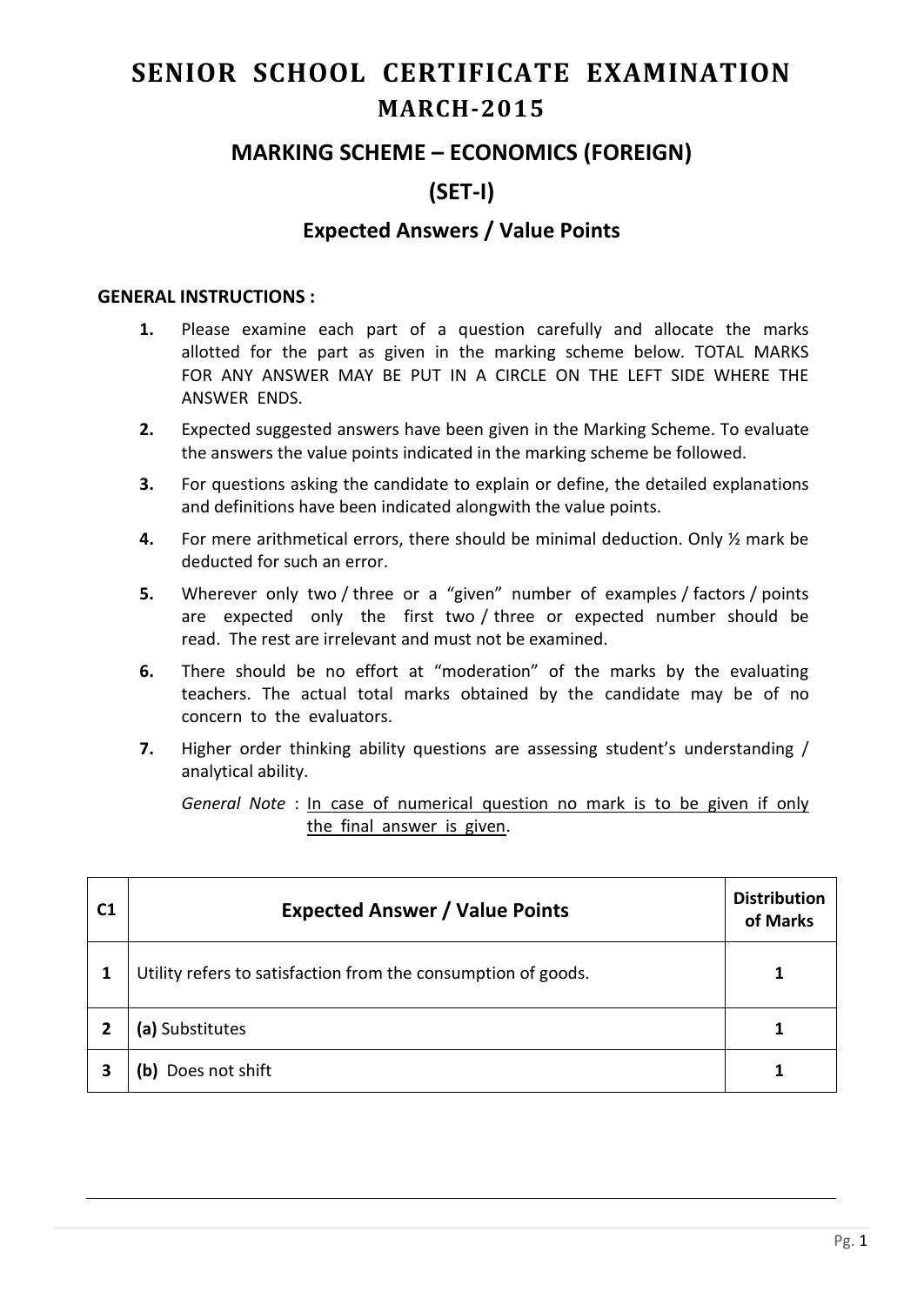# **SENIOR SCHOOL CERTIFICATE EXAMINATION MARCH-2015**

## **MARKING SCHEME – ECONOMICS (FOREIGN)**

# **(SET-I)**

## **Expected Answers / Value Points**

#### **GENERAL INSTRUCTIONS :**

- **1.** Please examine each part of a question carefully and allocate the marks allotted for the part as given in the marking scheme below. TOTAL MARKS FOR ANY ANSWER MAY BE PUT IN A CIRCLE ON THE LEFT SIDE WHERE THE ANSWER ENDS.
- **2.** Expected suggested answers have been given in the Marking Scheme. To evaluate the answers the value points indicated in the marking scheme be followed.
- **3.** For questions asking the candidate to explain or define, the detailed explanations and definitions have been indicated alongwith the value points.
- **4.** For mere arithmetical errors, there should be minimal deduction. Only ½ mark be deducted for such an error.
- **5.** Wherever only two / three or a "given" number of examples / factors / points are expected only the first two / three or expected number should be read. The rest are irrelevant and must not be examined.
- **6.** There should be no effort at "moderation" of the marks by the evaluating teachers. The actual total marks obtained by the candidate may be of no concern to the evaluators.
- **7.** Higher order thinking ability questions are assessing student's understanding / analytical ability.

*General Note* : In case of numerical question no mark is to be given if only the final answer is given.

| C <sub>1</sub> | <b>Expected Answer / Value Points</b>                         | <b>Distribution</b><br>of Marks |
|----------------|---------------------------------------------------------------|---------------------------------|
| 1              | Utility refers to satisfaction from the consumption of goods. |                                 |
|                | (a) Substitutes                                               |                                 |
| 3              | Does not shift<br>b)                                          |                                 |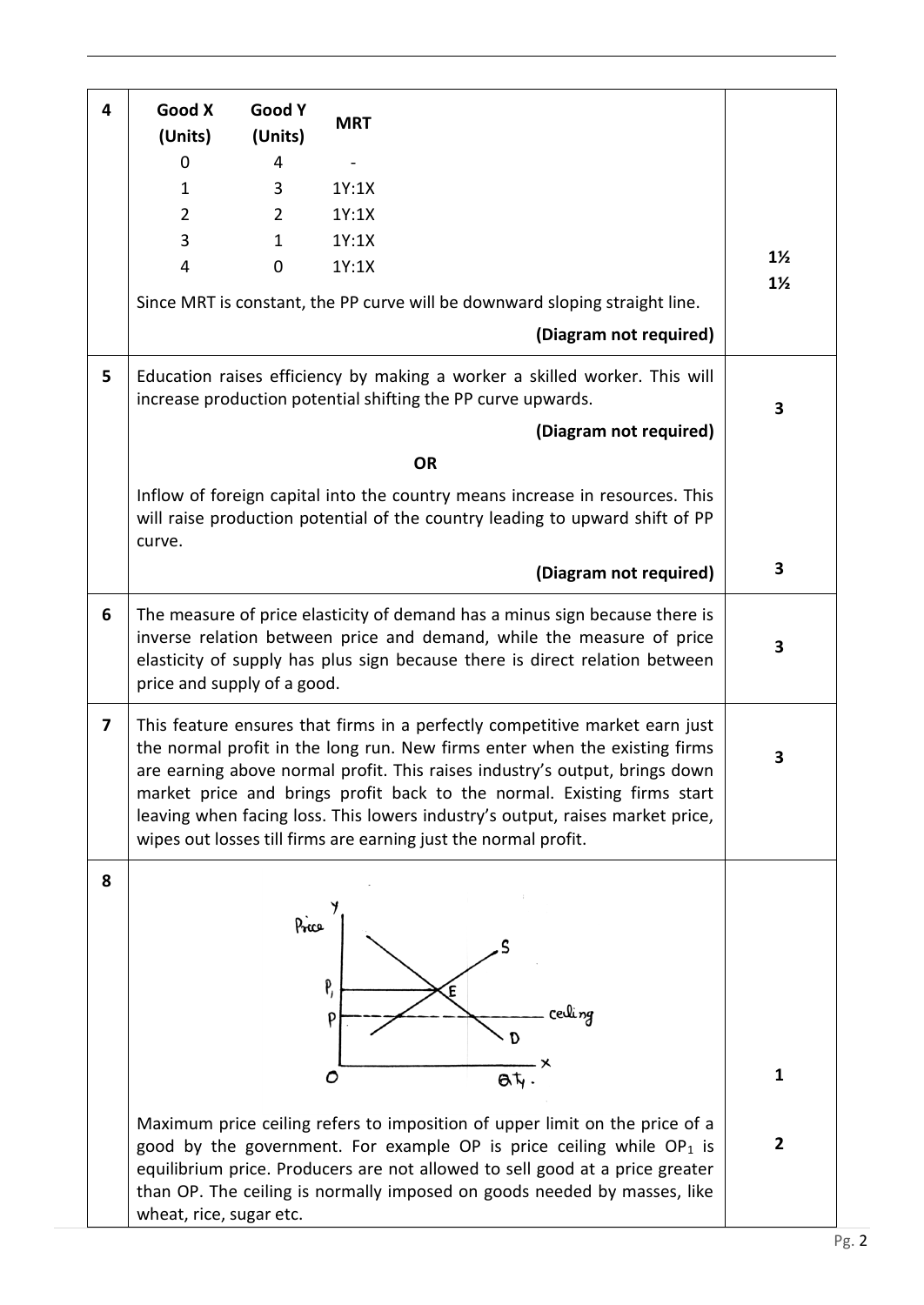| 4                       | Good X<br>(Units)                                                                                                                                                                                                                                                                                                                                                                                                                                                       | Good Y<br>(Units) | <b>MRT</b>                                                                                                                                                                                                                                                                                                         |                |
|-------------------------|-------------------------------------------------------------------------------------------------------------------------------------------------------------------------------------------------------------------------------------------------------------------------------------------------------------------------------------------------------------------------------------------------------------------------------------------------------------------------|-------------------|--------------------------------------------------------------------------------------------------------------------------------------------------------------------------------------------------------------------------------------------------------------------------------------------------------------------|----------------|
|                         | $\Omega$                                                                                                                                                                                                                                                                                                                                                                                                                                                                | 4                 |                                                                                                                                                                                                                                                                                                                    |                |
|                         | $\mathbf{1}$                                                                                                                                                                                                                                                                                                                                                                                                                                                            | 3                 | 1Y:1X                                                                                                                                                                                                                                                                                                              |                |
|                         | $\overline{2}$                                                                                                                                                                                                                                                                                                                                                                                                                                                          | $\overline{2}$    | 1Y:1X                                                                                                                                                                                                                                                                                                              |                |
|                         | 3                                                                                                                                                                                                                                                                                                                                                                                                                                                                       | $\mathbf{1}$      | 1Y:1X                                                                                                                                                                                                                                                                                                              |                |
|                         | 4                                                                                                                                                                                                                                                                                                                                                                                                                                                                       | $\mathbf 0$       | 1Y:1X                                                                                                                                                                                                                                                                                                              | $1\frac{1}{2}$ |
|                         |                                                                                                                                                                                                                                                                                                                                                                                                                                                                         |                   | Since MRT is constant, the PP curve will be downward sloping straight line.                                                                                                                                                                                                                                        | $1\frac{1}{2}$ |
|                         |                                                                                                                                                                                                                                                                                                                                                                                                                                                                         |                   | (Diagram not required)                                                                                                                                                                                                                                                                                             |                |
| 5                       |                                                                                                                                                                                                                                                                                                                                                                                                                                                                         |                   | Education raises efficiency by making a worker a skilled worker. This will<br>increase production potential shifting the PP curve upwards.                                                                                                                                                                         | 3              |
|                         |                                                                                                                                                                                                                                                                                                                                                                                                                                                                         |                   | (Diagram not required)                                                                                                                                                                                                                                                                                             |                |
|                         |                                                                                                                                                                                                                                                                                                                                                                                                                                                                         |                   | <b>OR</b>                                                                                                                                                                                                                                                                                                          |                |
|                         | Inflow of foreign capital into the country means increase in resources. This<br>will raise production potential of the country leading to upward shift of PP<br>curve.                                                                                                                                                                                                                                                                                                  |                   |                                                                                                                                                                                                                                                                                                                    |                |
|                         |                                                                                                                                                                                                                                                                                                                                                                                                                                                                         |                   | (Diagram not required)                                                                                                                                                                                                                                                                                             | 3              |
| 6                       | The measure of price elasticity of demand has a minus sign because there is<br>inverse relation between price and demand, while the measure of price<br>elasticity of supply has plus sign because there is direct relation between<br>price and supply of a good.                                                                                                                                                                                                      |                   |                                                                                                                                                                                                                                                                                                                    | 3              |
| $\overline{\mathbf{z}}$ | This feature ensures that firms in a perfectly competitive market earn just<br>the normal profit in the long run. New firms enter when the existing firms<br>are earning above normal profit. This raises industry's output, brings down<br>market price and brings profit back to the normal. Existing firms start<br>leaving when facing loss. This lowers industry's output, raises market price,<br>wipes out losses till firms are earning just the normal profit. |                   |                                                                                                                                                                                                                                                                                                                    | 3              |
| 8                       |                                                                                                                                                                                                                                                                                                                                                                                                                                                                         | Price             | P,<br>Έ<br>cerling<br>P<br>D                                                                                                                                                                                                                                                                                       |                |
|                         |                                                                                                                                                                                                                                                                                                                                                                                                                                                                         |                   | 0<br>at.                                                                                                                                                                                                                                                                                                           | 1              |
|                         | wheat, rice, sugar etc.                                                                                                                                                                                                                                                                                                                                                                                                                                                 |                   | Maximum price ceiling refers to imposition of upper limit on the price of a<br>good by the government. For example OP is price ceiling while $OP_1$ is<br>equilibrium price. Producers are not allowed to sell good at a price greater<br>than OP. The ceiling is normally imposed on goods needed by masses, like | $\overline{2}$ |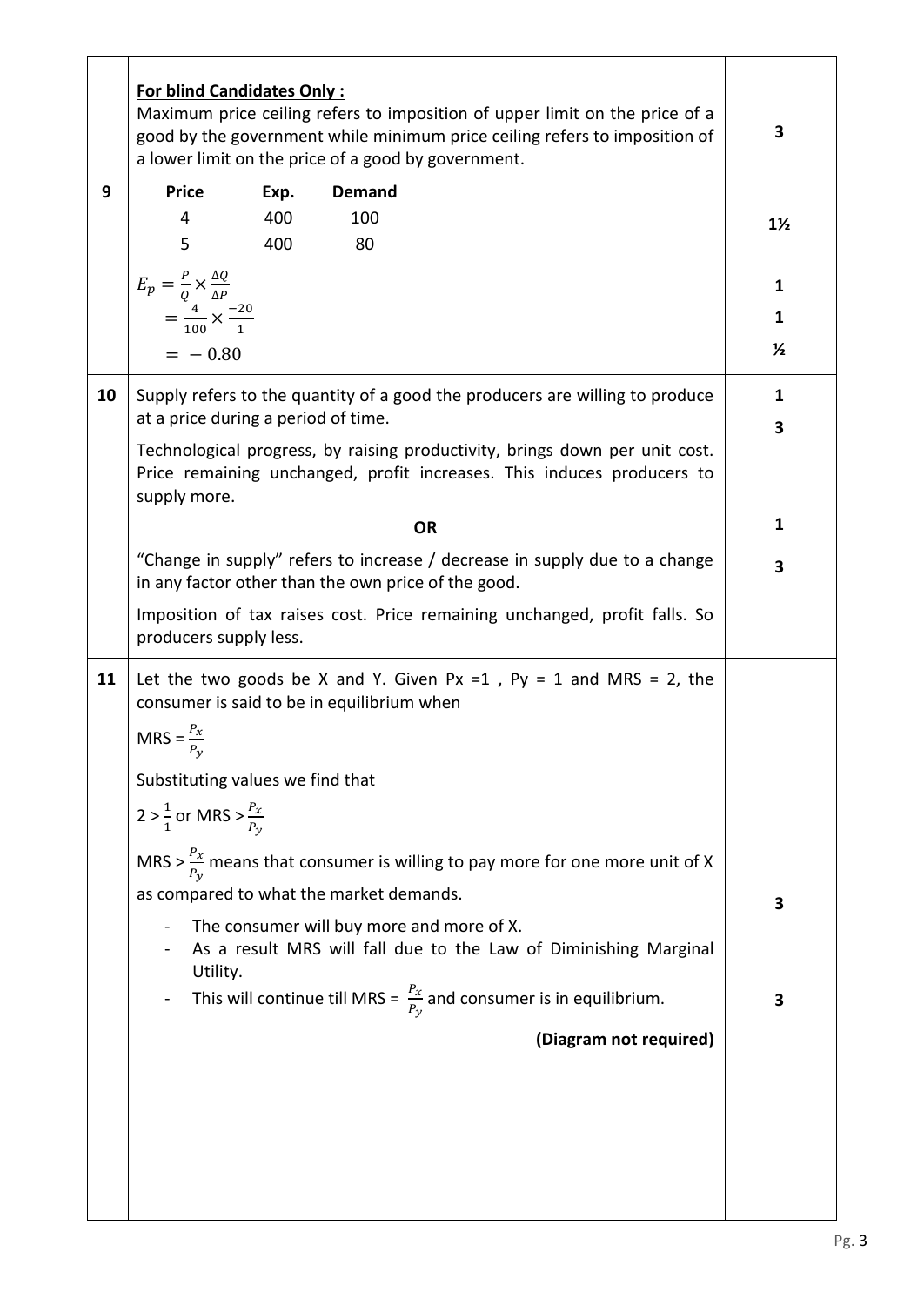|    | <b>For blind Candidates Only:</b><br>Maximum price ceiling refers to imposition of upper limit on the price of a<br>good by the government while minimum price ceiling refers to imposition of<br>a lower limit on the price of a good by government. |      |                                                                                           |                |  |
|----|-------------------------------------------------------------------------------------------------------------------------------------------------------------------------------------------------------------------------------------------------------|------|-------------------------------------------------------------------------------------------|----------------|--|
| 9  | <b>Price</b>                                                                                                                                                                                                                                          | Exp. | <b>Demand</b>                                                                             |                |  |
|    | 4                                                                                                                                                                                                                                                     | 400  | 100                                                                                       | $1\frac{1}{2}$ |  |
|    | 5                                                                                                                                                                                                                                                     | 400  | 80                                                                                        |                |  |
|    |                                                                                                                                                                                                                                                       |      |                                                                                           | 1              |  |
|    | $E_p = \frac{P}{Q} \times \frac{\Delta Q}{\Delta P}$<br>= $\frac{4}{100} \times \frac{-20}{1}$                                                                                                                                                        |      |                                                                                           | 1              |  |
|    |                                                                                                                                                                                                                                                       |      |                                                                                           | $\frac{1}{2}$  |  |
|    | $= -0.80$                                                                                                                                                                                                                                             |      |                                                                                           |                |  |
| 10 | Supply refers to the quantity of a good the producers are willing to produce<br>at a price during a period of time.                                                                                                                                   |      |                                                                                           | 1<br>3         |  |
|    | Technological progress, by raising productivity, brings down per unit cost.<br>Price remaining unchanged, profit increases. This induces producers to<br>supply more.                                                                                 |      |                                                                                           |                |  |
|    |                                                                                                                                                                                                                                                       | 1    |                                                                                           |                |  |
|    | <b>OR</b><br>"Change in supply" refers to increase / decrease in supply due to a change<br>in any factor other than the own price of the good.                                                                                                        |      |                                                                                           |                |  |
|    | Imposition of tax raises cost. Price remaining unchanged, profit falls. So<br>producers supply less.                                                                                                                                                  |      |                                                                                           |                |  |
| 11 | Let the two goods be X and Y. Given Px =1, Py = 1 and MRS = 2, the<br>consumer is said to be in equilibrium when                                                                                                                                      |      |                                                                                           |                |  |
|    | $MRS = \frac{P_x}{P}$                                                                                                                                                                                                                                 |      |                                                                                           |                |  |
|    | Substituting values we find that                                                                                                                                                                                                                      |      |                                                                                           |                |  |
|    | 2 > $\frac{1}{1}$ or MRS > $\frac{P_x}{P_y}$                                                                                                                                                                                                          |      |                                                                                           |                |  |
|    |                                                                                                                                                                                                                                                       |      | MRS > $\frac{P_x}{P_v}$ means that consumer is willing to pay more for one more unit of X |                |  |
|    |                                                                                                                                                                                                                                                       |      | as compared to what the market demands.                                                   | 3              |  |
|    | The consumer will buy more and more of X.                                                                                                                                                                                                             |      |                                                                                           |                |  |
|    |                                                                                                                                                                                                                                                       |      | As a result MRS will fall due to the Law of Diminishing Marginal                          |                |  |
|    | Utility.                                                                                                                                                                                                                                              |      | This will continue till MRS = $\frac{P_x}{P_y}$ and consumer is in equilibrium.           | 3              |  |
|    |                                                                                                                                                                                                                                                       |      | (Diagram not required)                                                                    |                |  |
|    |                                                                                                                                                                                                                                                       |      |                                                                                           |                |  |
|    |                                                                                                                                                                                                                                                       |      |                                                                                           |                |  |
|    |                                                                                                                                                                                                                                                       |      |                                                                                           |                |  |
|    |                                                                                                                                                                                                                                                       |      |                                                                                           |                |  |
|    |                                                                                                                                                                                                                                                       |      |                                                                                           |                |  |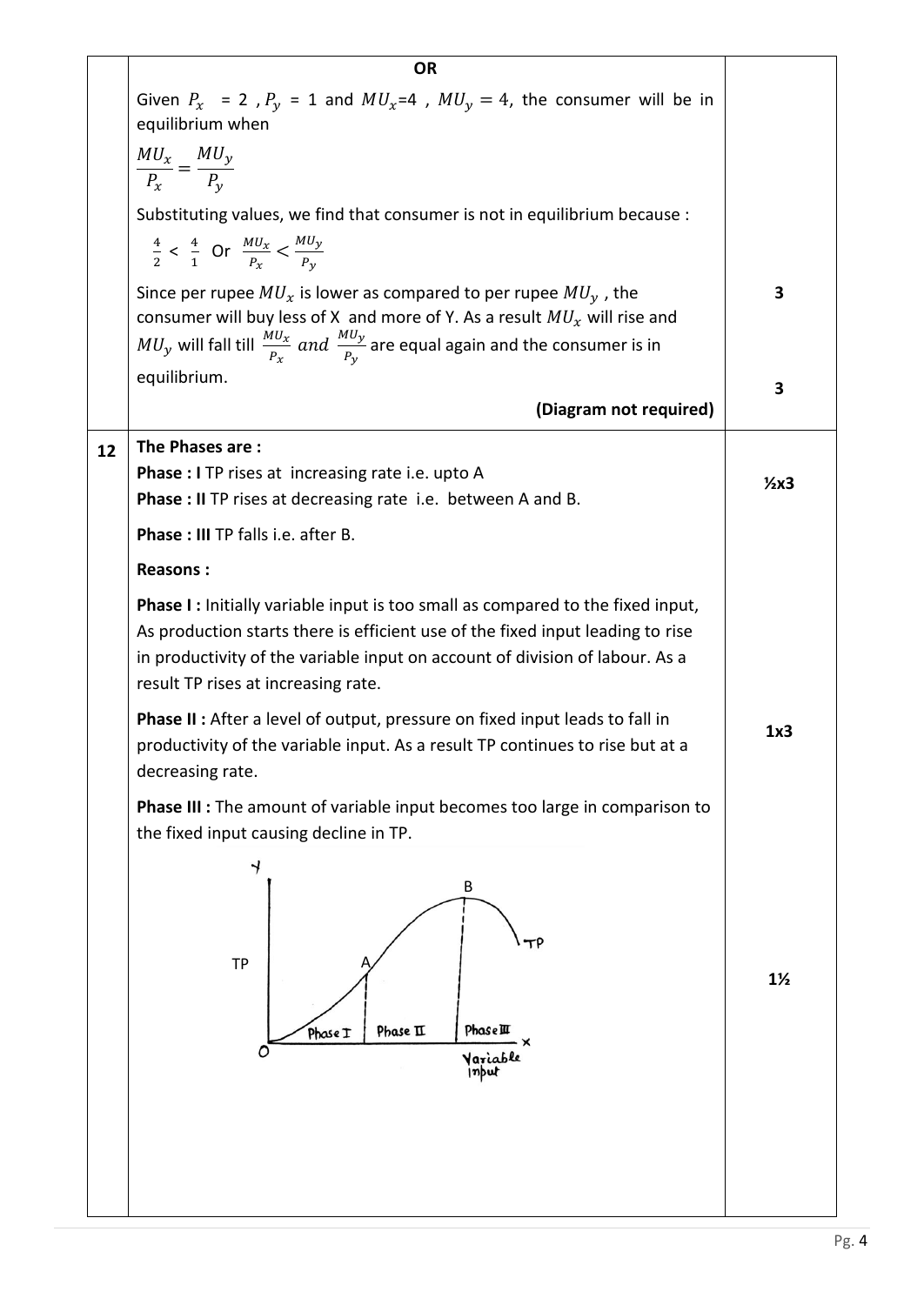|    | <b>OR</b>                                                                                                                                                                                                                                                                                      |                |  |  |  |
|----|------------------------------------------------------------------------------------------------------------------------------------------------------------------------------------------------------------------------------------------------------------------------------------------------|----------------|--|--|--|
|    | Given $P_x$ = 2, $P_y$ = 1 and $MU_x$ =4, $MU_y$ = 4, the consumer will be in<br>equilibrium when                                                                                                                                                                                              |                |  |  |  |
|    | $\frac{MU_x}{P_x} = \frac{MU_y}{P_y}$                                                                                                                                                                                                                                                          |                |  |  |  |
|    |                                                                                                                                                                                                                                                                                                |                |  |  |  |
|    | Substituting values, we find that consumer is not in equilibrium because :<br>$\frac{4}{2}$ < $\frac{4}{1}$ Or $\frac{MU_x}{P_x}$ < $\frac{MU_y}{P_y}$                                                                                                                                         |                |  |  |  |
|    | Since per rupee $MU_x$ is lower as compared to per rupee $MU_y$ , the<br>consumer will buy less of X and more of Y. As a result $MU_x$ will rise and<br>$MU_y$ will fall till $\frac{MU_x}{P_x}$ and $\frac{MU_y}{P_y}$ are equal again and the consumer is in                                 |                |  |  |  |
|    | equilibrium.                                                                                                                                                                                                                                                                                   |                |  |  |  |
|    | (Diagram not required)                                                                                                                                                                                                                                                                         | 3              |  |  |  |
| 12 | The Phases are:<br>Phase : I TP rises at increasing rate i.e. upto A<br><b>Phase : II</b> TP rises at decreasing rate i.e. between A and B.                                                                                                                                                    |                |  |  |  |
|    | Phase: III TP falls i.e. after B.                                                                                                                                                                                                                                                              |                |  |  |  |
|    | <b>Reasons:</b>                                                                                                                                                                                                                                                                                |                |  |  |  |
|    | <b>Phase I:</b> Initially variable input is too small as compared to the fixed input,<br>As production starts there is efficient use of the fixed input leading to rise<br>in productivity of the variable input on account of division of labour. As a<br>result TP rises at increasing rate. |                |  |  |  |
|    | <b>Phase II:</b> After a level of output, pressure on fixed input leads to fall in<br>productivity of the variable input. As a result TP continues to rise but at a<br>decreasing rate.                                                                                                        | 1x3            |  |  |  |
|    | <b>Phase III :</b> The amount of variable input becomes too large in comparison to<br>the fixed input causing decline in TP.                                                                                                                                                                   |                |  |  |  |
|    | $\rightarrow$<br>В<br>тΡ<br><b>TP</b><br>Phase II<br>Phase III<br>Phose I<br>Variable<br> nput                                                                                                                                                                                                 | $1\frac{1}{2}$ |  |  |  |
|    |                                                                                                                                                                                                                                                                                                |                |  |  |  |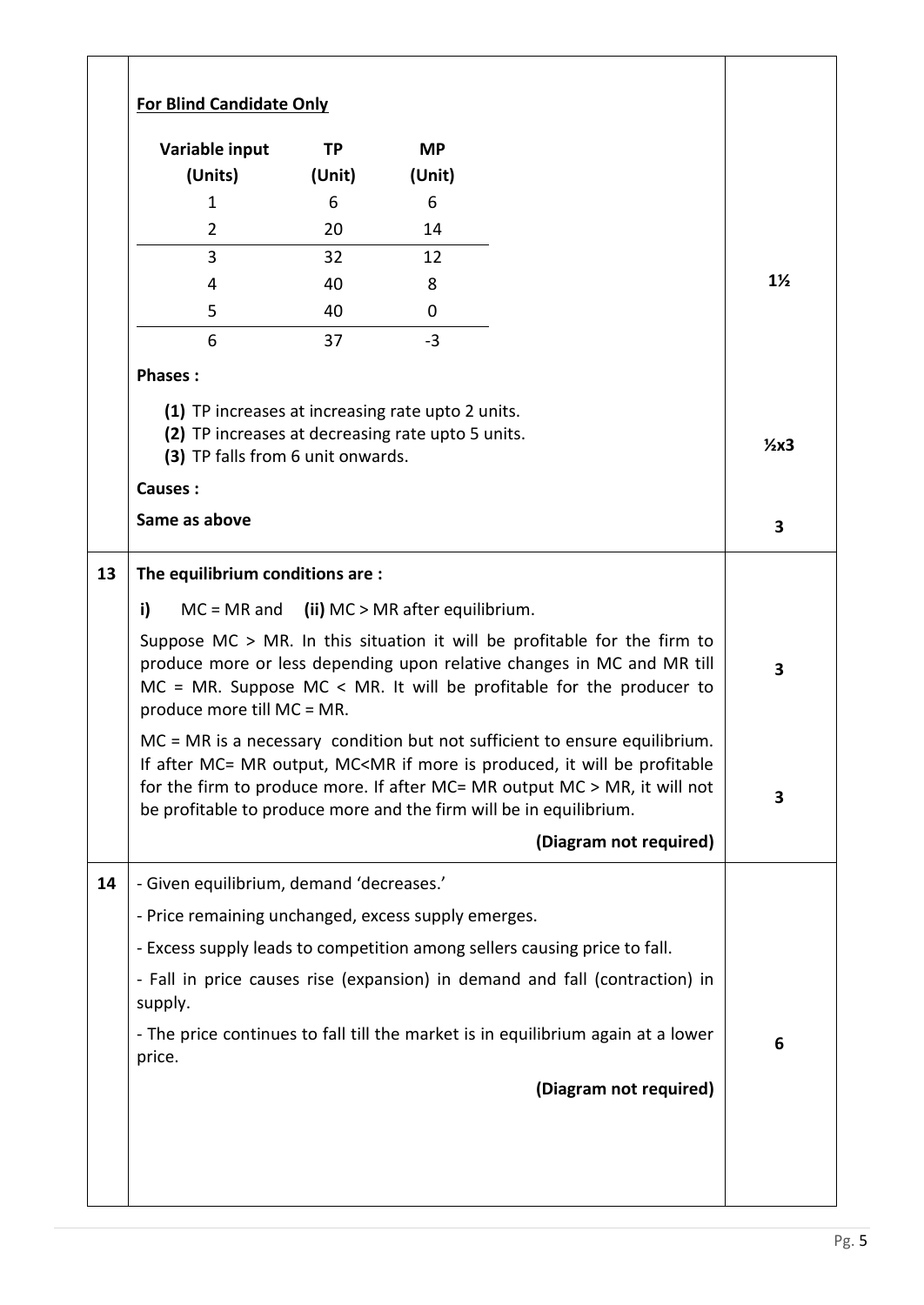| <b>For Blind Candidate Only</b>                                                                                                                               |           |                                 |                                                                                                                                                                                                                                                                                                                                                                                                                                                                                                                                                                                                           |  |
|---------------------------------------------------------------------------------------------------------------------------------------------------------------|-----------|---------------------------------|-----------------------------------------------------------------------------------------------------------------------------------------------------------------------------------------------------------------------------------------------------------------------------------------------------------------------------------------------------------------------------------------------------------------------------------------------------------------------------------------------------------------------------------------------------------------------------------------------------------|--|
| Variable input                                                                                                                                                | <b>TP</b> | <b>MP</b>                       |                                                                                                                                                                                                                                                                                                                                                                                                                                                                                                                                                                                                           |  |
| (Units)                                                                                                                                                       | (Unit)    | (Unit)                          |                                                                                                                                                                                                                                                                                                                                                                                                                                                                                                                                                                                                           |  |
| $\mathbf{1}$                                                                                                                                                  | 6         | 6                               |                                                                                                                                                                                                                                                                                                                                                                                                                                                                                                                                                                                                           |  |
| $\overline{2}$                                                                                                                                                | 20        | 14                              |                                                                                                                                                                                                                                                                                                                                                                                                                                                                                                                                                                                                           |  |
| 3                                                                                                                                                             | 32        | 12                              |                                                                                                                                                                                                                                                                                                                                                                                                                                                                                                                                                                                                           |  |
| 4                                                                                                                                                             | 40        | 8                               |                                                                                                                                                                                                                                                                                                                                                                                                                                                                                                                                                                                                           |  |
| 5                                                                                                                                                             | 40        | 0                               |                                                                                                                                                                                                                                                                                                                                                                                                                                                                                                                                                                                                           |  |
| 6                                                                                                                                                             | 37        | $-3$                            |                                                                                                                                                                                                                                                                                                                                                                                                                                                                                                                                                                                                           |  |
| <b>Phases:</b>                                                                                                                                                |           |                                 |                                                                                                                                                                                                                                                                                                                                                                                                                                                                                                                                                                                                           |  |
| (1) TP increases at increasing rate upto 2 units.<br>(2) TP increases at decreasing rate upto 5 units.<br>(3) TP falls from 6 unit onwards.<br><b>Causes:</b> |           |                                 |                                                                                                                                                                                                                                                                                                                                                                                                                                                                                                                                                                                                           |  |
| Same as above                                                                                                                                                 |           |                                 |                                                                                                                                                                                                                                                                                                                                                                                                                                                                                                                                                                                                           |  |
|                                                                                                                                                               |           |                                 |                                                                                                                                                                                                                                                                                                                                                                                                                                                                                                                                                                                                           |  |
| i)<br>$MC = MR$ and<br>produce more till MC = MR.                                                                                                             |           | (ii) MC > MR after equilibrium. | Suppose $MC > MR$ . In this situation it will be profitable for the firm to<br>produce more or less depending upon relative changes in MC and MR till<br>$MC = MR$ . Suppose MC < MR. It will be profitable for the producer to<br>MC = MR is a necessary condition but not sufficient to ensure equilibrium.<br>If after MC= MR output, MC <mr be="" if="" is="" it="" more="" produced,="" profitable<br="" will="">for the firm to produce more. If after MC= MR output MC &gt; MR, it will not<br/>be profitable to produce more and the firm will be in equilibrium.<br/>(Diagram not required)</mr> |  |
| - Given equilibrium, demand 'decreases.'                                                                                                                      |           |                                 |                                                                                                                                                                                                                                                                                                                                                                                                                                                                                                                                                                                                           |  |
|                                                                                                                                                               |           |                                 |                                                                                                                                                                                                                                                                                                                                                                                                                                                                                                                                                                                                           |  |
| - Price remaining unchanged, excess supply emerges.                                                                                                           |           |                                 |                                                                                                                                                                                                                                                                                                                                                                                                                                                                                                                                                                                                           |  |
|                                                                                                                                                               |           |                                 | - Excess supply leads to competition among sellers causing price to fall.                                                                                                                                                                                                                                                                                                                                                                                                                                                                                                                                 |  |
| supply.                                                                                                                                                       |           |                                 | - Fall in price causes rise (expansion) in demand and fall (contraction) in                                                                                                                                                                                                                                                                                                                                                                                                                                                                                                                               |  |
| price.                                                                                                                                                        |           |                                 | - The price continues to fall till the market is in equilibrium again at a lower                                                                                                                                                                                                                                                                                                                                                                                                                                                                                                                          |  |
|                                                                                                                                                               |           |                                 | (Diagram not required)                                                                                                                                                                                                                                                                                                                                                                                                                                                                                                                                                                                    |  |
|                                                                                                                                                               |           |                                 |                                                                                                                                                                                                                                                                                                                                                                                                                                                                                                                                                                                                           |  |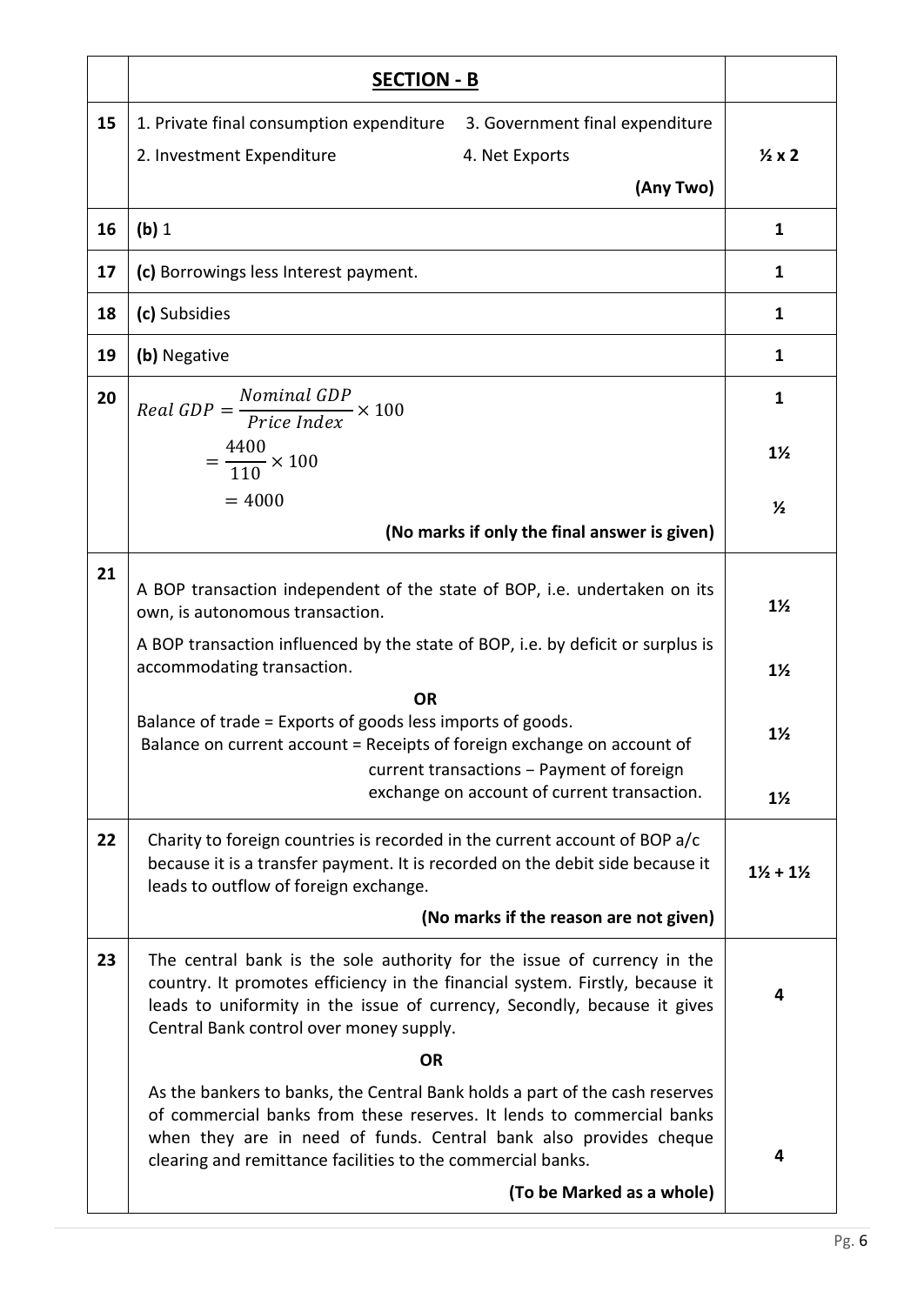|    | <b>SECTION - B</b>                                                                                                                                                                                                                                                                       |                                  |  |  |
|----|------------------------------------------------------------------------------------------------------------------------------------------------------------------------------------------------------------------------------------------------------------------------------------------|----------------------------------|--|--|
| 15 | 1. Private final consumption expenditure<br>3. Government final expenditure<br>2. Investment Expenditure<br>4. Net Exports<br>(Any Two)                                                                                                                                                  | $\frac{1}{2}x2$                  |  |  |
| 16 | (b) 1                                                                                                                                                                                                                                                                                    | $\mathbf{1}$                     |  |  |
| 17 | (c) Borrowings less Interest payment.                                                                                                                                                                                                                                                    | 1                                |  |  |
| 18 | (c) Subsidies                                                                                                                                                                                                                                                                            | $\mathbf{1}$                     |  |  |
| 19 | (b) Negative                                                                                                                                                                                                                                                                             | $\mathbf{1}$                     |  |  |
| 20 | $Real GDP = \frac{Nominal GDP}{Price Index} \times 100$                                                                                                                                                                                                                                  | 1                                |  |  |
|    | $=\frac{4400}{110}\times 100$                                                                                                                                                                                                                                                            | $1\frac{1}{2}$                   |  |  |
|    | $= 4000$<br>(No marks if only the final answer is given)                                                                                                                                                                                                                                 | $\frac{1}{2}$                    |  |  |
| 21 | A BOP transaction independent of the state of BOP, i.e. undertaken on its<br>own, is autonomous transaction.                                                                                                                                                                             | $1\frac{1}{2}$                   |  |  |
|    | A BOP transaction influenced by the state of BOP, i.e. by deficit or surplus is<br>accommodating transaction.                                                                                                                                                                            |                                  |  |  |
|    | <b>OR</b><br>Balance of trade = Exports of goods less imports of goods.<br>Balance on current account = Receipts of foreign exchange on account of<br>current transactions - Payment of foreign<br>exchange on account of current transaction.                                           | $1\frac{1}{2}$<br>$1\frac{1}{2}$ |  |  |
| 22 | Charity to foreign countries is recorded in the current account of BOP a/c<br>because it is a transfer payment. It is recorded on the debit side because it<br>leads to outflow of foreign exchange.<br>(No marks if the reason are not given)                                           | $1\frac{1}{2} + 1\frac{1}{2}$    |  |  |
| 23 | The central bank is the sole authority for the issue of currency in the<br>country. It promotes efficiency in the financial system. Firstly, because it<br>leads to uniformity in the issue of currency, Secondly, because it gives<br>Central Bank control over money supply.           | 4                                |  |  |
|    | <b>OR</b>                                                                                                                                                                                                                                                                                |                                  |  |  |
|    | As the bankers to banks, the Central Bank holds a part of the cash reserves<br>of commercial banks from these reserves. It lends to commercial banks<br>when they are in need of funds. Central bank also provides cheque<br>clearing and remittance facilities to the commercial banks. | 4                                |  |  |
|    | (To be Marked as a whole)                                                                                                                                                                                                                                                                |                                  |  |  |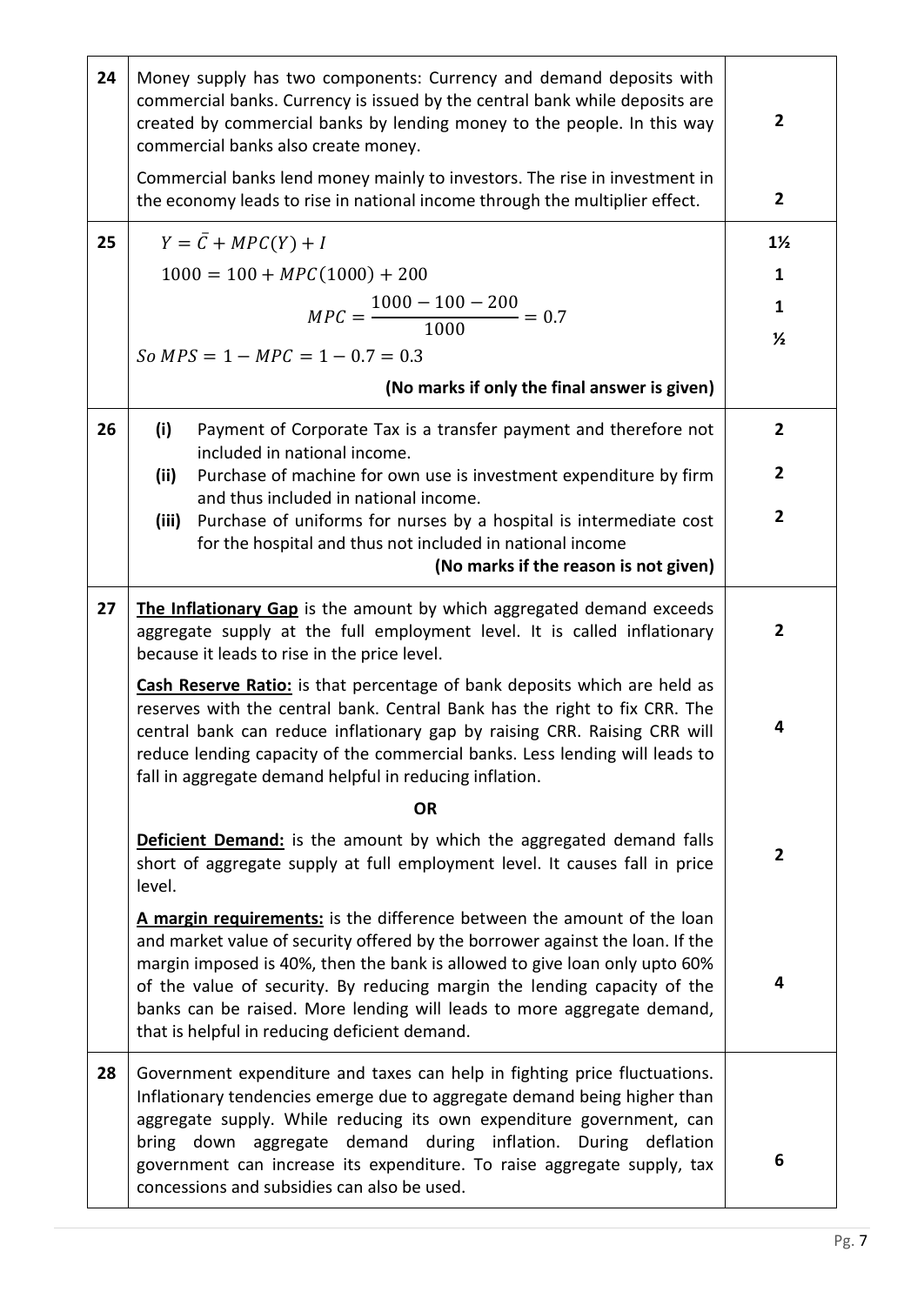| 24 | Money supply has two components: Currency and demand deposits with<br>commercial banks. Currency is issued by the central bank while deposits are<br>created by commercial banks by lending money to the people. In this way<br>commercial banks also create money.                                                                                                                                                                           | $\mathbf{2}$   |  |  |
|----|-----------------------------------------------------------------------------------------------------------------------------------------------------------------------------------------------------------------------------------------------------------------------------------------------------------------------------------------------------------------------------------------------------------------------------------------------|----------------|--|--|
|    | Commercial banks lend money mainly to investors. The rise in investment in<br>the economy leads to rise in national income through the multiplier effect.                                                                                                                                                                                                                                                                                     | $\overline{2}$ |  |  |
| 25 | $Y = \overline{C} + MPC(Y) + I$                                                                                                                                                                                                                                                                                                                                                                                                               | $1\frac{1}{2}$ |  |  |
|    | $1000 = 100 + MPC(1000) + 200$                                                                                                                                                                                                                                                                                                                                                                                                                | 1              |  |  |
|    | $MPC = \frac{1000 - 100 - 200}{1000} = 0.7$                                                                                                                                                                                                                                                                                                                                                                                                   | $\mathbf{1}$   |  |  |
|    | $So MPS = 1 - MPC = 1 - 0.7 = 0.3$                                                                                                                                                                                                                                                                                                                                                                                                            | $\frac{1}{2}$  |  |  |
|    | (No marks if only the final answer is given)                                                                                                                                                                                                                                                                                                                                                                                                  |                |  |  |
|    |                                                                                                                                                                                                                                                                                                                                                                                                                                               |                |  |  |
| 26 | (i)<br>Payment of Corporate Tax is a transfer payment and therefore not<br>included in national income.                                                                                                                                                                                                                                                                                                                                       | $\overline{2}$ |  |  |
|    | Purchase of machine for own use is investment expenditure by firm<br>(ii)<br>and thus included in national income.                                                                                                                                                                                                                                                                                                                            | 2              |  |  |
|    | Purchase of uniforms for nurses by a hospital is intermediate cost<br>(iii)                                                                                                                                                                                                                                                                                                                                                                   | $\overline{2}$ |  |  |
|    | for the hospital and thus not included in national income<br>(No marks if the reason is not given)                                                                                                                                                                                                                                                                                                                                            |                |  |  |
|    |                                                                                                                                                                                                                                                                                                                                                                                                                                               |                |  |  |
| 27 | The Inflationary Gap is the amount by which aggregated demand exceeds<br>aggregate supply at the full employment level. It is called inflationary<br>because it leads to rise in the price level.                                                                                                                                                                                                                                             | $\mathbf{2}$   |  |  |
|    | Cash Reserve Ratio: is that percentage of bank deposits which are held as<br>reserves with the central bank. Central Bank has the right to fix CRR. The<br>central bank can reduce inflationary gap by raising CRR. Raising CRR will<br>reduce lending capacity of the commercial banks. Less lending will leads to<br>fall in aggregate demand helpful in reducing inflation.                                                                |                |  |  |
|    | <b>OR</b>                                                                                                                                                                                                                                                                                                                                                                                                                                     |                |  |  |
|    | <b>Deficient Demand:</b> is the amount by which the aggregated demand falls<br>short of aggregate supply at full employment level. It causes fall in price<br>level.                                                                                                                                                                                                                                                                          | $\mathbf{2}$   |  |  |
|    | A margin requirements: is the difference between the amount of the loan<br>and market value of security offered by the borrower against the loan. If the<br>margin imposed is 40%, then the bank is allowed to give loan only upto 60%<br>of the value of security. By reducing margin the lending capacity of the<br>banks can be raised. More lending will leads to more aggregate demand,<br>that is helpful in reducing deficient demand. | 4              |  |  |
| 28 | Government expenditure and taxes can help in fighting price fluctuations.<br>Inflationary tendencies emerge due to aggregate demand being higher than<br>aggregate supply. While reducing its own expenditure government, can<br>bring down aggregate demand during inflation. During deflation<br>government can increase its expenditure. To raise aggregate supply, tax<br>concessions and subsidies can also be used.                     | 6              |  |  |